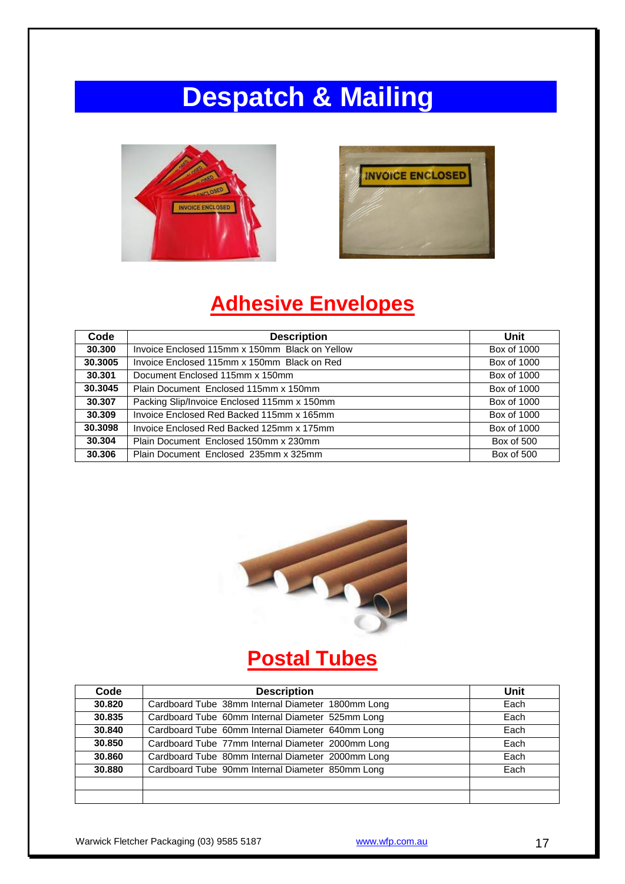# **Despatch & Mailing**





### **Adhesive Envelopes**

| Code    | <b>Description</b>                             | Unit        |
|---------|------------------------------------------------|-------------|
| 30,300  | Invoice Enclosed 115mm x 150mm Black on Yellow | Box of 1000 |
| 30.3005 | Invoice Enclosed 115mm x 150mm Black on Red    | Box of 1000 |
| 30.301  | Document Enclosed 115mm x 150mm                | Box of 1000 |
| 30.3045 | Plain Document Enclosed 115mm x 150mm          | Box of 1000 |
| 30,307  | Packing Slip/Invoice Enclosed 115mm x 150mm    | Box of 1000 |
| 30,309  | Invoice Enclosed Red Backed 115mm x 165mm      | Box of 1000 |
| 30.3098 | Invoice Enclosed Red Backed 125mm x 175mm      | Box of 1000 |
| 30.304  | Plain Document Enclosed 150mm x 230mm          | Box of 500  |
| 30,306  | Plain Document Enclosed 235mm x 325mm          | Box of 500  |



# **Postal Tubes**

| Code   | <b>Description</b>                                | Unit |
|--------|---------------------------------------------------|------|
| 30.820 | Cardboard Tube 38mm Internal Diameter 1800mm Long | Each |
| 30.835 | Cardboard Tube 60mm Internal Diameter 525mm Long  | Each |
| 30.840 | Cardboard Tube 60mm Internal Diameter 640mm Long  | Each |
| 30.850 | Cardboard Tube 77mm Internal Diameter 2000mm Long | Each |
| 30.860 | Cardboard Tube 80mm Internal Diameter 2000mm Long | Each |
| 30,880 | Cardboard Tube 90mm Internal Diameter 850mm Long  | Each |
|        |                                                   |      |
|        |                                                   |      |

Warwick Fletcher Packaging (03) 9585 5187 www.wfp.com.au 37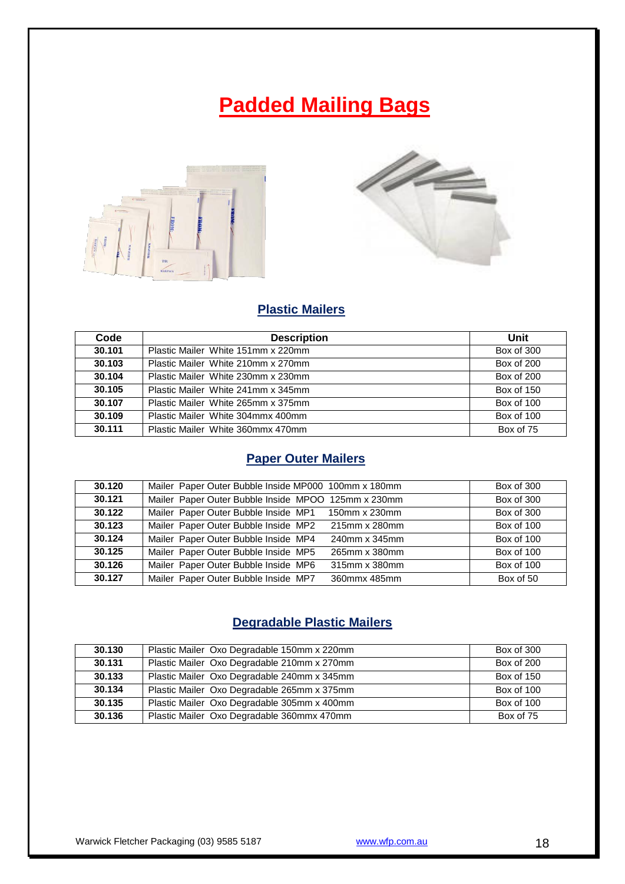### **Padded Mailing Bags**





#### **Plastic Mailers**

| Code   | <b>Description</b>                  | Unit              |
|--------|-------------------------------------|-------------------|
| 30.101 | Plastic Mailer White 151mm x 220mm  | Box of 300        |
| 30.103 | Plastic Mailer White 210mm x 270mm  | <b>Box of 200</b> |
| 30.104 | Plastic Mailer White 230mm x 230mm  | <b>Box of 200</b> |
| 30.105 | Plastic Mailer, White 241mm x 345mm | Box of 150        |
| 30.107 | Plastic Mailer White 265mm x 375mm  | Box of 100        |
| 30.109 | Plastic Mailer White 304mmx 400mm   | Box of 100        |
| 30.111 | Plastic Mailer White 360mmx 470mm   | Box of 75         |

#### **Paper Outer Mailers**

| 30.120 | Mailer Paper Outer Bubble Inside MP000 100mm x 180mm  | Box of 300 |
|--------|-------------------------------------------------------|------------|
| 30.121 | Mailer Paper Outer Bubble Inside MPOO 125mm x 230mm   | Box of 300 |
| 30.122 | Mailer Paper Outer Bubble Inside MP1 150mm x 230mm    | Box of 300 |
| 30.123 | Mailer Paper Outer Bubble Inside MP2<br>215mm x 280mm | Box of 100 |
| 30.124 | Mailer Paper Outer Bubble Inside MP4<br>240mm x 345mm | Box of 100 |
| 30.125 | Mailer Paper Outer Bubble Inside MP5<br>265mm x 380mm | Box of 100 |
| 30.126 | Mailer Paper Outer Bubble Inside MP6<br>315mm x 380mm | Box of 100 |
| 30.127 | Mailer Paper Outer Bubble Inside MP7<br>360mmx 485mm  | Box of 50  |

#### **Degradable Plastic Mailers**

| 30.130 | Plastic Mailer Oxo Degradable 150mm x 220mm | Box of 300 |
|--------|---------------------------------------------|------------|
| 30.131 | Plastic Mailer Oxo Degradable 210mm x 270mm | Box of 200 |
| 30.133 | Plastic Mailer Oxo Degradable 240mm x 345mm | Box of 150 |
| 30.134 | Plastic Mailer Oxo Degradable 265mm x 375mm | Box of 100 |
| 30.135 | Plastic Mailer Oxo Degradable 305mm x 400mm | Box of 100 |
| 30.136 | Plastic Mailer Oxo Degradable 360mmx 470mm  | Box of 75  |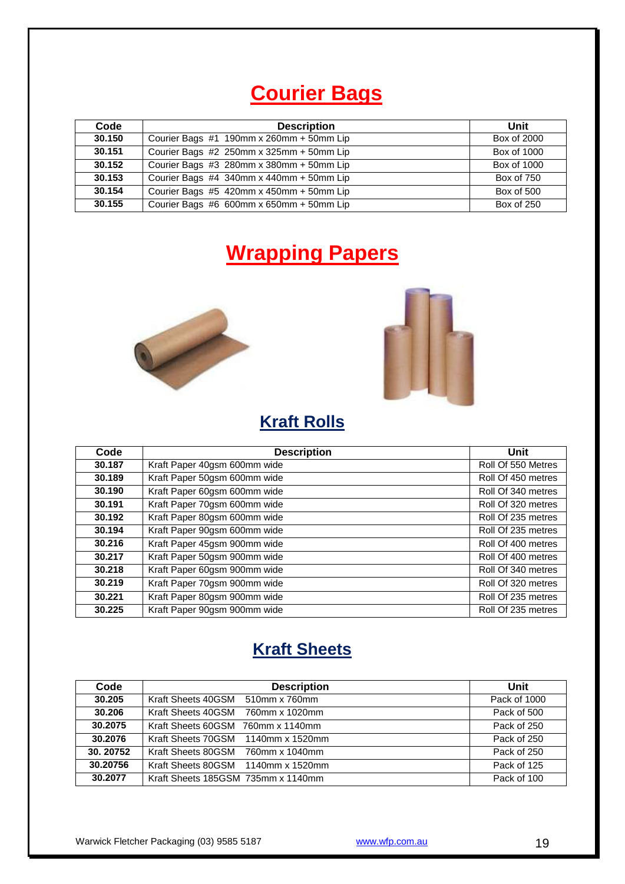### **Courier Bags**

| Code   | <b>Description</b>                       | Unit        |
|--------|------------------------------------------|-------------|
| 30.150 | Courier Bags #1 190mm x 260mm + 50mm Lip | Box of 2000 |
| 30.151 | Courier Bags #2 250mm x 325mm + 50mm Lip | Box of 1000 |
| 30.152 | Courier Bags #3 280mm x 380mm + 50mm Lip | Box of 1000 |
| 30.153 | Courier Bags #4 340mm x 440mm + 50mm Lip | Box of 750  |
| 30.154 | Courier Bags #5 420mm x 450mm + 50mm Lip | Box of 500  |
| 30.155 | Courier Bags #6 600mm x 650mm + 50mm Lip | Box of 250  |

### **Wrapping Papers**





#### **Kraft Rolls**

| Code   | <b>Description</b>           | Unit               |
|--------|------------------------------|--------------------|
| 30.187 | Kraft Paper 40gsm 600mm wide | Roll Of 550 Metres |
| 30.189 | Kraft Paper 50gsm 600mm wide | Roll Of 450 metres |
| 30.190 | Kraft Paper 60gsm 600mm wide | Roll Of 340 metres |
| 30.191 | Kraft Paper 70gsm 600mm wide | Roll Of 320 metres |
| 30.192 | Kraft Paper 80gsm 600mm wide | Roll Of 235 metres |
| 30.194 | Kraft Paper 90gsm 600mm wide | Roll Of 235 metres |
| 30.216 | Kraft Paper 45gsm 900mm wide | Roll Of 400 metres |
| 30.217 | Kraft Paper 50gsm 900mm wide | Roll Of 400 metres |
| 30.218 | Kraft Paper 60gsm 900mm wide | Roll Of 340 metres |
| 30.219 | Kraft Paper 70gsm 900mm wide | Roll Of 320 metres |
| 30.221 | Kraft Paper 80gsm 900mm wide | Roll Of 235 metres |
| 30.225 | Kraft Paper 90gsm 900mm wide | Roll Of 235 metres |

### **Kraft Sheets**

| Code     | <b>Description</b>                 | Unit         |
|----------|------------------------------------|--------------|
| 30.205   | Kraft Sheets 40GSM 510mm x 760mm   | Pack of 1000 |
| 30.206   | Kraft Sheets 40GSM 760mm x 1020mm  | Pack of 500  |
| 30.2075  | Kraft Sheets 60GSM 760mm x 1140mm  | Pack of 250  |
| 30.2076  | Kraft Sheets 70GSM 1140mm x 1520mm | Pack of 250  |
| 30.20752 | Kraft Sheets 80GSM 760mm x 1040mm  | Pack of 250  |
| 30.20756 | Kraft Sheets 80GSM 1140mm x 1520mm | Pack of 125  |
| 30.2077  | Kraft Sheets 185GSM 735mm x 1140mm | Pack of 100  |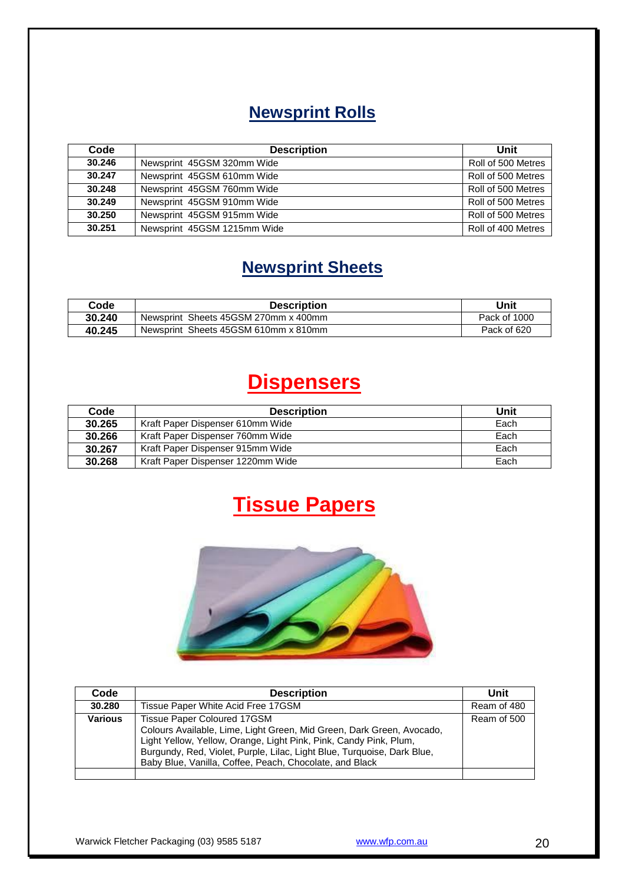### **Newsprint Rolls**

| Code   | <b>Description</b>          | Unit               |
|--------|-----------------------------|--------------------|
| 30.246 | Newsprint 45GSM 320mm Wide  | Roll of 500 Metres |
| 30.247 | Newsprint 45GSM 610mm Wide  | Roll of 500 Metres |
| 30.248 | Newsprint 45GSM 760mm Wide  | Roll of 500 Metres |
| 30.249 | Newsprint 45GSM 910mm Wide  | Roll of 500 Metres |
| 30.250 | Newsprint 45GSM 915mm Wide  | Roll of 500 Metres |
| 30.251 | Newsprint 45GSM 1215mm Wide | Roll of 400 Metres |

### **Newsprint Sheets**

| Code   | <b>Description</b>                   | Unit         |
|--------|--------------------------------------|--------------|
| 30.240 | Newsprint Sheets 45GSM 270mm x 400mm | Pack of 1000 |
| 40.245 | Newsprint Sheets 45GSM 610mm x 810mm | Pack of 620  |

# **Dispensers**

| Code   | <b>Description</b>                | Unit |
|--------|-----------------------------------|------|
| 30.265 | Kraft Paper Dispenser 610mm Wide  | Each |
| 30.266 | Kraft Paper Dispenser 760mm Wide  | Each |
| 30.267 | Kraft Paper Dispenser 915mm Wide  | Each |
| 30.268 | Kraft Paper Dispenser 1220mm Wide | Each |

# **Tissue Papers**



| Code           | <b>Description</b>                                                                                                                                                                                                                                                                                                     | Unit        |
|----------------|------------------------------------------------------------------------------------------------------------------------------------------------------------------------------------------------------------------------------------------------------------------------------------------------------------------------|-------------|
| 30.280         | Tissue Paper White Acid Free 17GSM                                                                                                                                                                                                                                                                                     | Ream of 480 |
| <b>Various</b> | <b>Tissue Paper Coloured 17GSM</b><br>Colours Available, Lime, Light Green, Mid Green, Dark Green, Avocado,<br>Light Yellow, Yellow, Orange, Light Pink, Pink, Candy Pink, Plum,<br>Burgundy, Red, Violet, Purple, Lilac, Light Blue, Turquoise, Dark Blue,<br>Baby Blue, Vanilla, Coffee, Peach, Chocolate, and Black | Ream of 500 |
|                |                                                                                                                                                                                                                                                                                                                        |             |